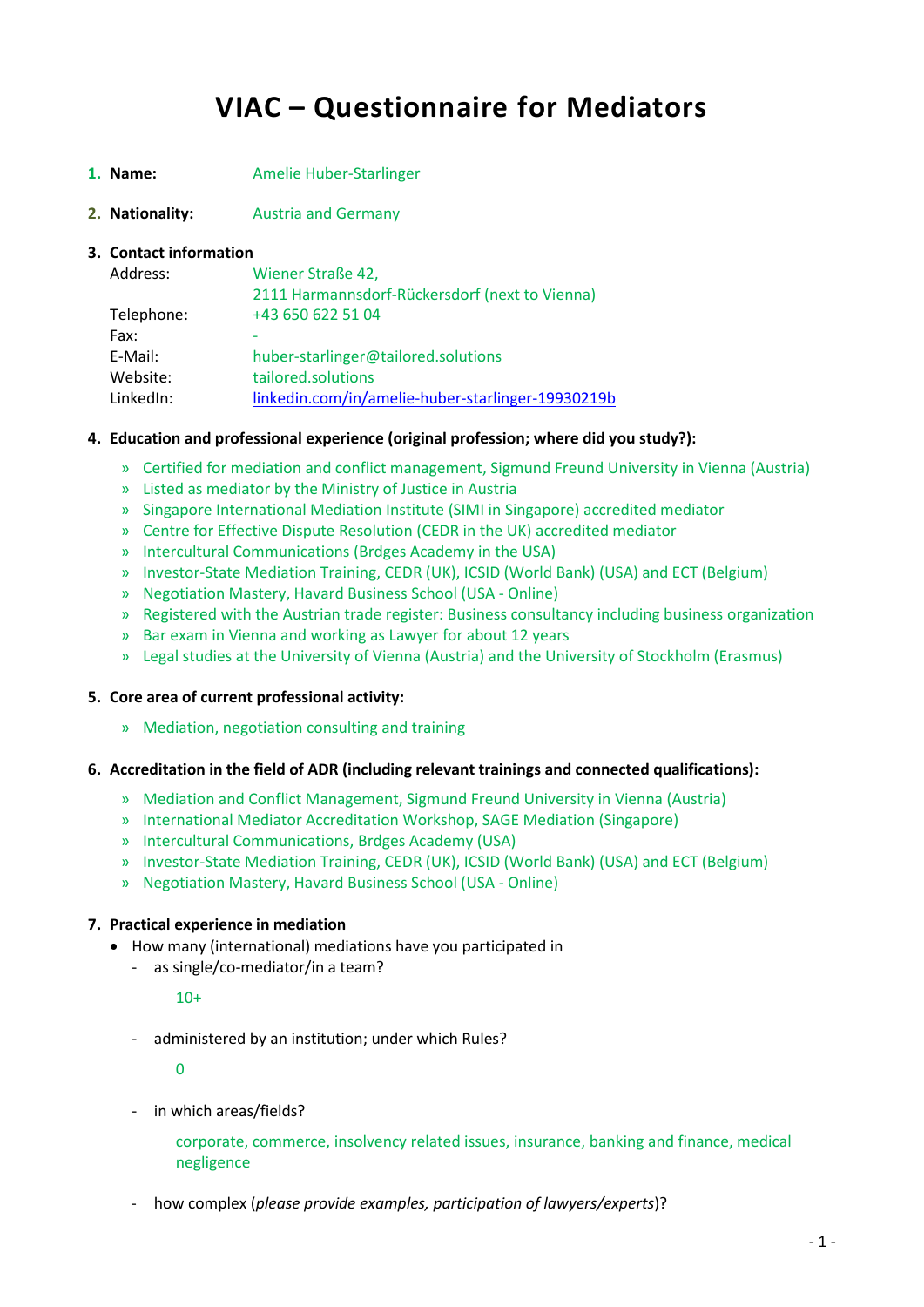# **VIAC – Questionnaire for Mediators**

- **1. Name:** Amelie Huber-Starlinger
- **2. Nationality:** Austria and Germany

#### **3. Contact information**

| Address:   | Wiener Straße 42,                                 |
|------------|---------------------------------------------------|
|            | 2111 Harmannsdorf-Rückersdorf (next to Vienna)    |
| Telephone: | +43 650 622 51 04                                 |
| Fax:       |                                                   |
| E-Mail:    | huber-starlinger@tailored.solutions               |
| Website:   | tailored.solutions                                |
| LinkedIn:  | linkedin.com/in/amelie-huber-starlinger-19930219b |

#### **4. Education and professional experience (original profession; where did you study?):**

- » Certified for mediation and conflict management, Sigmund Freund University in Vienna (Austria)
- » Listed as mediator by the Ministry of Justice in Austria
- » Singapore International Mediation Institute (SIMI in Singapore) accredited mediator
- » Centre for Effective Dispute Resolution (CEDR in the UK) accredited mediator
- » Intercultural Communications (Brdges Academy in the USA)
- » Investor-State Mediation Training, CEDR (UK), ICSID (World Bank) (USA) and ECT (Belgium)
- » Negotiation Mastery, Havard Business School (USA Online)
- » Registered with the Austrian trade register: Business consultancy including business organization
- » Bar exam in Vienna and working as Lawyer for about 12 years
- » Legal studies at the University of Vienna (Austria) and the University of Stockholm (Erasmus)

# **5. Core area of current professional activity:**

» Mediation, negotiation consulting and training

#### **6. Accreditation in the field of ADR (including relevant trainings and connected qualifications):**

- » Mediation and Conflict Management, Sigmund Freund University in Vienna (Austria)
- » International Mediator Accreditation Workshop, SAGE Mediation (Singapore)
- » Intercultural Communications, Brdges Academy (USA)
- » Investor-State Mediation Training, CEDR (UK), ICSID (World Bank) (USA) and ECT (Belgium)
- » Negotiation Mastery, Havard Business School (USA Online)

# **7. Practical experience in mediation**

- How many (international) mediations have you participated in
	- as single/co-mediator/in a team?

# $10+$

- administered by an institution; under which Rules?

 $\Omega$ 

- in which areas/fields?

corporate, commerce, insolvency related issues, insurance, banking and finance, medical negligence

- how complex (*please provide examples, participation of lawyers/experts*)?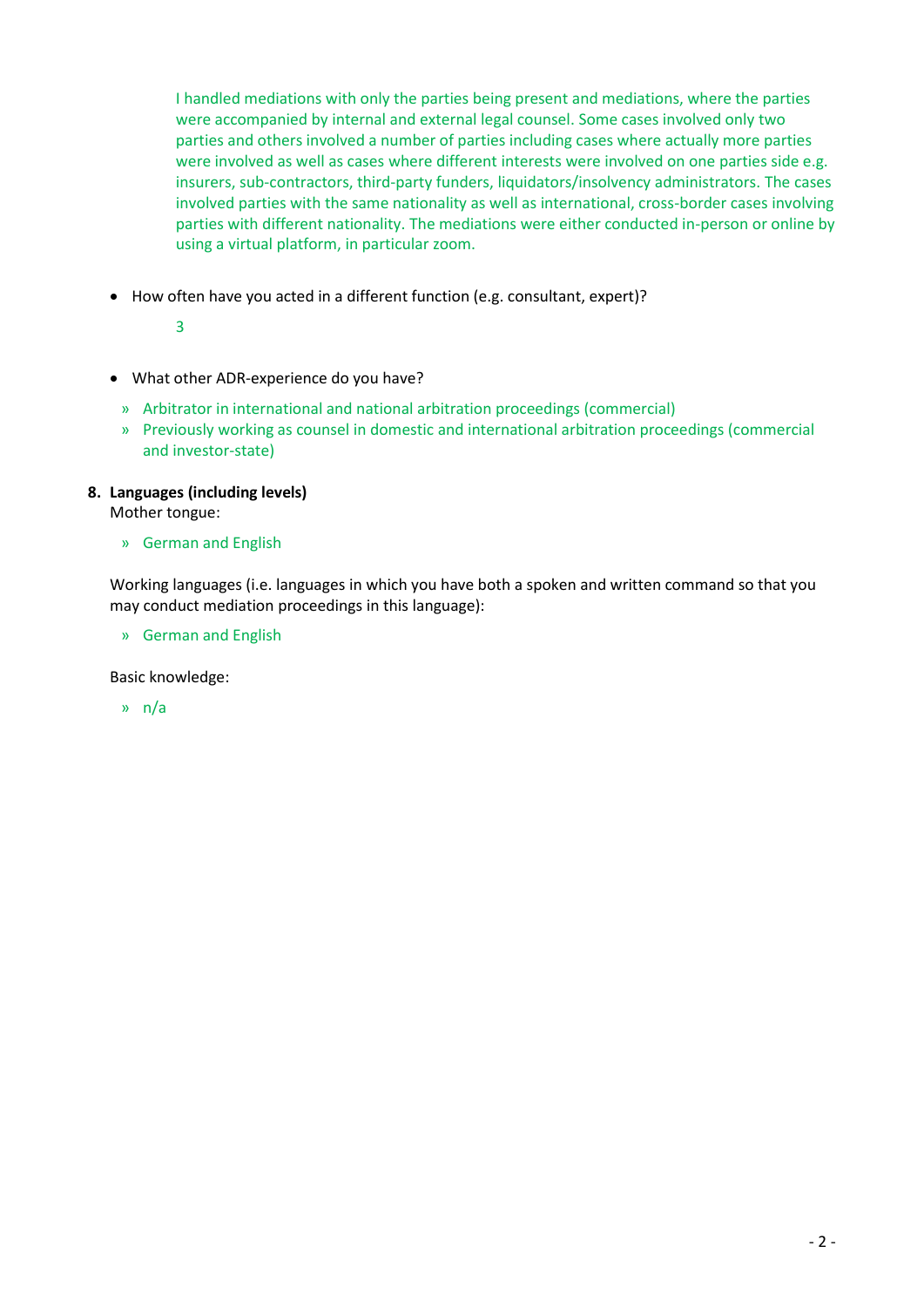I handled mediations with only the parties being present and mediations, where the parties were accompanied by internal and external legal counsel. Some cases involved only two parties and others involved a number of parties including cases where actually more parties were involved as well as cases where different interests were involved on one parties side e.g. insurers, sub-contractors, third-party funders, liquidators/insolvency administrators. The cases involved parties with the same nationality as well as international, cross-border cases involving parties with different nationality. The mediations were either conducted in-person or online by using a virtual platform, in particular zoom.

How often have you acted in a different function (e.g. consultant, expert)?

3

- What other ADR-experience do you have?
	- » Arbitrator in international and national arbitration proceedings (commercial)
	- » Previously working as counsel in domestic and international arbitration proceedings (commercial and investor-state)

# **8. Languages (including levels)**

Mother tongue:

» German and English

Working languages (i.e. languages in which you have both a spoken and written command so that you may conduct mediation proceedings in this language):

» German and English

Basic knowledge:

» n/a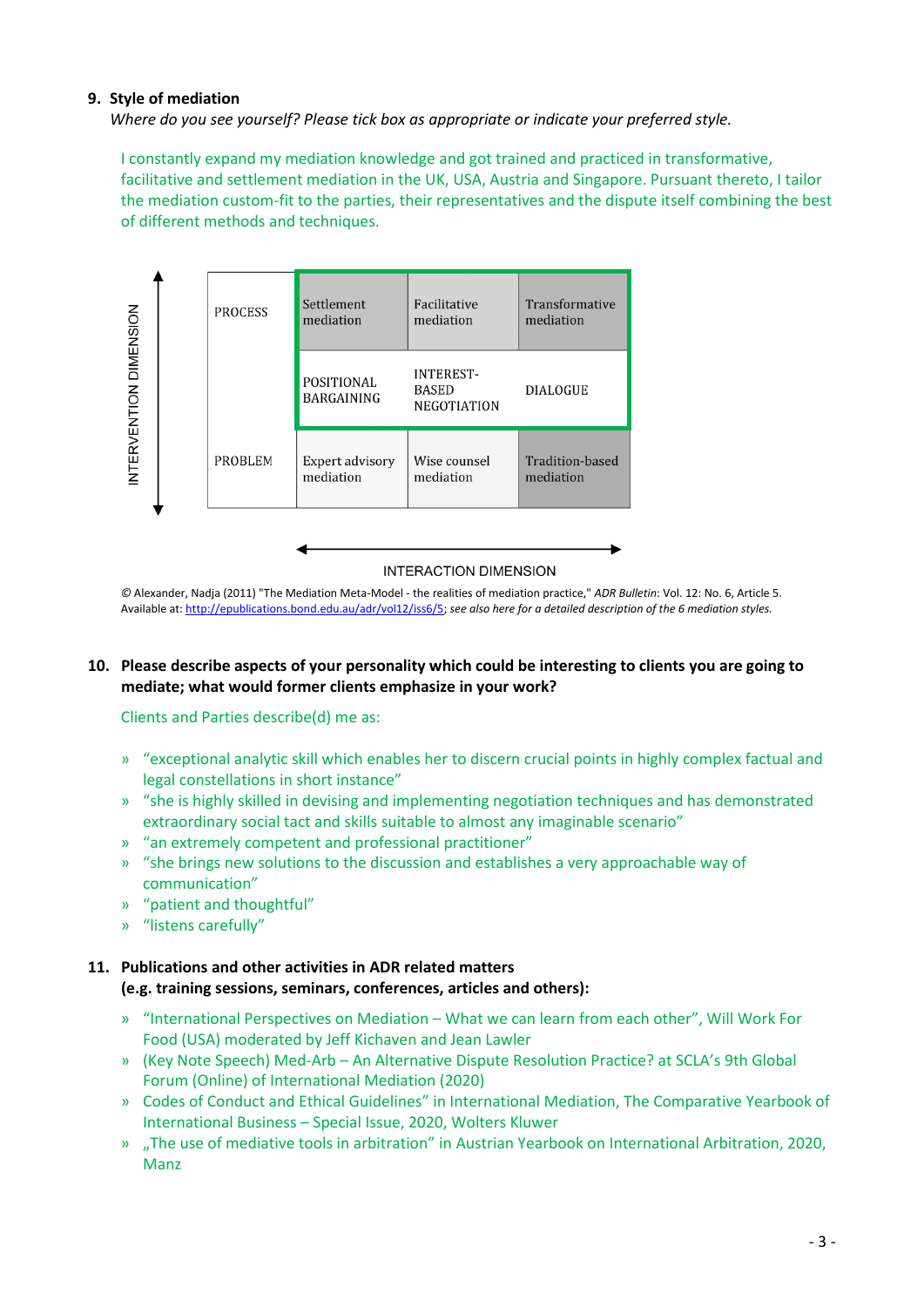# **9. Style of mediation**

*Where do you see yourself? Please tick box as appropriate or indicate your preferred style.*

I constantly expand my mediation knowledge and got trained and practiced in transformative, facilitative and settlement mediation in the UK, USA, Austria and Singapore. Pursuant thereto, I tailor the mediation custom-fit to the parties, their representatives and the dispute itself combining the best of different methods and techniques.



*©* Alexander, Nadja (2011) "The Mediation Meta-Model - the realities of mediation practice," *ADR Bulletin*: Vol. 12: No. 6, Article 5. Available at: [http://epublications.bond.edu.au/adr/vol12/iss6/5;](http://epublications.bond.edu.au/adr/vol12/iss6/5) *see also here for a detailed description of the 6 mediation styles.* 

# **10. Please describe aspects of your personality which could be interesting to clients you are going to mediate; what would former clients emphasize in your work?**

Clients and Parties describe(d) me as:

- » "exceptional analytic skill which enables her to discern crucial points in highly complex factual and legal constellations in short instance"
- » "she is highly skilled in devising and implementing negotiation techniques and has demonstrated extraordinary social tact and skills suitable to almost any imaginable scenario"
- » "an extremely competent and professional practitioner"
- » "she brings new solutions to the discussion and establishes a very approachable way of communication"
- » "patient and thoughtful"
- » "listens carefully"

# **11. Publications and other activities in ADR related matters (e.g. training sessions, seminars, conferences, articles and others):**

- » "International Perspectives on Mediation What we can learn from each other", Will Work For Food (USA) moderated by Jeff Kichaven and Jean Lawler
- » (Key Note Speech) Med-Arb An Alternative Dispute Resolution Practice? at SCLA's 9th Global Forum (Online) of International Mediation (2020)
- » Codes of Conduct and Ethical Guidelines" in International Mediation, The Comparative Yearbook of International Business – Special Issue, 2020, Wolters Kluwer
- » "The use of mediative tools in arbitration" in Austrian Yearbook on International Arbitration, 2020, Manz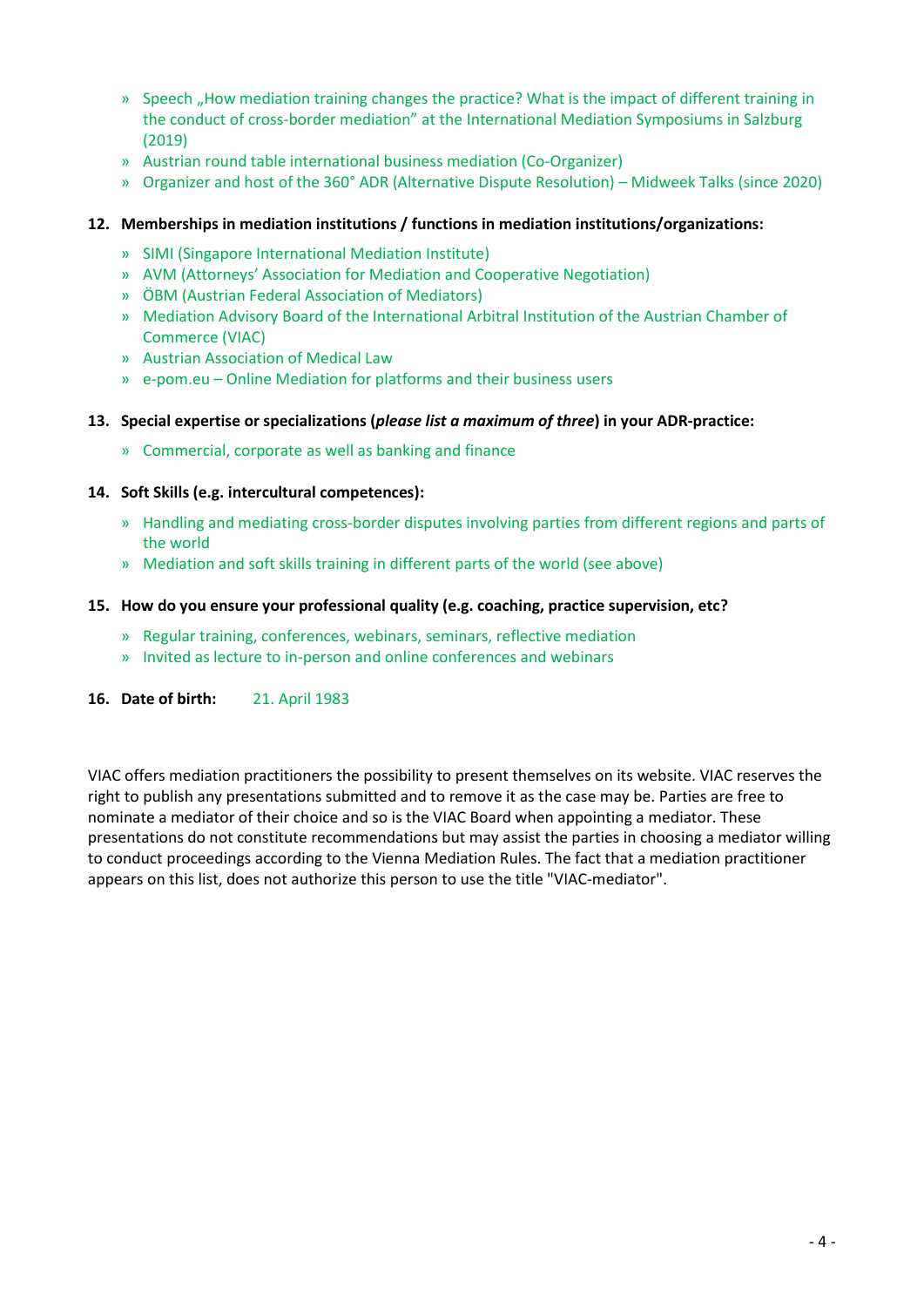- » Speech ..How mediation training changes the practice? What is the impact of different training in the conduct of cross-border mediation" at the International Mediation Symposiums in Salzburg (2019)
- » Austrian round table international business mediation (Co-Organizer)
- » Organizer and host of the 360° ADR (Alternative Dispute Resolution) Midweek Talks (since 2020)

# **12. Memberships in mediation institutions / functions in mediation institutions/organizations:**

- » SIMI (Singapore International Mediation Institute)
- » AVM (Attorneys' Association for Mediation and Cooperative Negotiation)
- » ÖBM (Austrian Federal Association of Mediators)
- » Mediation Advisory Board of the International Arbitral Institution of the Austrian Chamber of Commerce (VIAC)
- » Austrian Association of Medical Law
- » e-pom.eu Online Mediation for platforms and their business users
- **13. Special expertise or specializations (***please list a maximum of three***) in your ADR-practice:**
	- » Commercial, corporate as well as banking and finance

# **14. Soft Skills (e.g. intercultural competences):**

- » Handling and mediating cross-border disputes involving parties from different regions and parts of the world
- » Mediation and soft skills training in different parts of the world (see above)

# **15. How do you ensure your professional quality (e.g. coaching, practice supervision, etc?**

- » Regular training, conferences, webinars, seminars, reflective mediation
- » Invited as lecture to in-person and online conferences and webinars
- **16. Date of birth:** 21. April 1983

VIAC offers mediation practitioners the possibility to present themselves on its website. VIAC reserves the right to publish any presentations submitted and to remove it as the case may be. Parties are free to nominate a mediator of their choice and so is the VIAC Board when appointing a mediator. These presentations do not constitute recommendations but may assist the parties in choosing a mediator willing to conduct proceedings according to the Vienna Mediation Rules. The fact that a mediation practitioner appears on this list, does not authorize this person to use the title "VIAC-mediator".